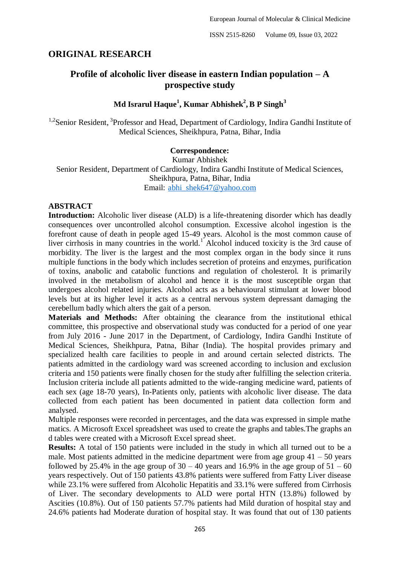# **ORIGINAL RESEARCH**

# **Profile of alcoholic liver disease in eastern Indian population – A prospective study**

# **Md Israrul Haque<sup>1</sup> , Kumar Abhishek<sup>2</sup> , B P Singh<sup>3</sup>**

<sup>1,2</sup>Senior Resident, <sup>3</sup>Professor and Head, Department of Cardiology, Indira Gandhi Institute of Medical Sciences, Sheikhpura, Patna, Bihar, India

### **Correspondence:**

Kumar Abhishek Senior Resident, Department of Cardiology, Indira Gandhi Institute of Medical Sciences, Sheikhpura, Patna, Bihar, India Email: [abhi\\_shek647@yahoo.com](about:blank)

### **ABSTRACT**

**Introduction:** Alcoholic liver disease (ALD) is a life-threatening disorder which has deadly consequences over uncontrolled alcohol consumption. Excessive alcohol ingestion is the forefront cause of death in people aged 15-49 years. Alcohol is the most common cause of liver cirrhosis in many countries in the world.<sup>1</sup> Alcohol induced toxicity is the 3rd cause of morbidity. The liver is the largest and the most complex organ in the body since it runs multiple functions in the body which includes secretion of proteins and enzymes, purification of toxins, anabolic and catabolic functions and regulation of cholesterol. It is primarily involved in the metabolism of alcohol and hence it is the most susceptible organ that undergoes alcohol related injuries. Alcohol acts as a behavioural stimulant at lower blood levels but at its higher level it acts as a central nervous system depressant damaging the cerebellum badly which alters the gait of a person.

**Materials and Methods:** After obtaining the clearance from the institutional ethical committee, this prospective and observational study was conducted for a period of one year from July 2016 - June 2017 in the Department, of Cardiology, Indira Gandhi Institute of Medical Sciences, Sheikhpura, Patna, Bihar (India). The hospital provides primary and specialized health care facilities to people in and around certain selected districts. The patients admitted in the cardiology ward was screened according to inclusion and exclusion criteria and 150 patients were finally chosen for the study after fulfilling the selection criteria. Inclusion criteria include all patients admitted to the wide-ranging medicine ward, patients of each sex (age 18-70 years), In-Patients only, patients with alcoholic liver disease. The data collected from each patient has been documented in patient data collection form and analysed.

Multiple responses were recorded in percentages, and the data was expressed in simple mathe matics. A Microsoft Excel spreadsheet was used to create the graphs and tables.The graphs an d tables were created with a Microsoft Excel spread sheet.

**Results:** A total of 150 patients were included in the study in which all turned out to be a male. Most patients admitted in the medicine department were from age group  $41 - 50$  years followed by 25.4% in the age group of  $30 - 40$  years and 16.9% in the age group of  $51 - 60$ years respectively. Out of 150 patients 43.8% patients were suffered from Fatty Liver disease while 23.1% were suffered from Alcoholic Hepatitis and 33.1% were suffered from Cirrhosis of Liver. The secondary developments to ALD were portal HTN (13.8%) followed by Ascities (10.8%). Out of 150 patients 57.7% patients had Mild duration of hospital stay and 24.6% patients had Moderate duration of hospital stay. It was found that out of 130 patients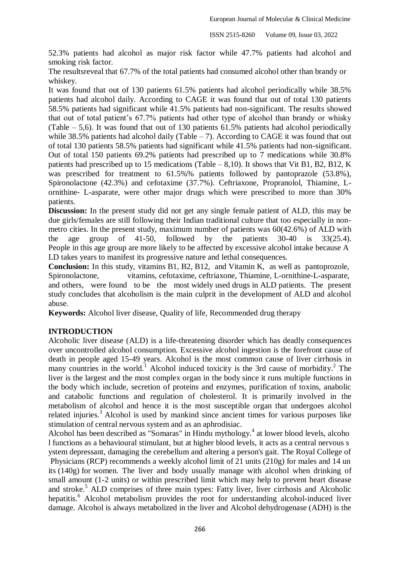52.3% patients had alcohol as major risk factor while 47.7% patients had alcohol and smoking risk factor.

The resultsreveal that 67.7% of the total patients had consumed alcohol other than brandy or whiskey.

It was found that out of 130 patients 61.5% patients had alcohol periodically while 38.5% patients had alcohol daily. According to CAGE it was found that out of total 130 patients 58.5% patients had significant while 41.5% patients had non-significant. The results showed that out of total patient's 67.7% patients had other type of alcohol than brandy or whisky (Table – 5,6). It was found that out of 130 patients 61.5% patients had alcohol periodically while 38.5% patients had alcohol daily (Table  $-7$ ). According to CAGE it was found that out of total 130 patients 58.5% patients had significant while 41.5% patients had non-significant. Out of total 150 patients 69.2% patients had prescribed up to 7 medications while 30.8% patients had prescribed up to 15 medications (Table – 8,10). It shows that Vit B1, B2, B12, K was prescribed for treatment to 61.5%% patients followed by pantoprazole (53.8%), Spironolactone (42.3%) and cefotaxime (37.7%). Ceftriaxone, Propranolol, Thiamine, Lornithine- L-asparate, were other major drugs which were prescribed to more than 30% patients.

**Discussion:** In the present study did not get any single female patient of ALD, this may be due girls/females are still following their Indian traditional culture that too especially in nonmetro cities. In the present study, maximum number of patients was 60(42.6%) of ALD with the age group of 41-50, followed by the patients 30-40 is 33(25.4). People in this age group are more likely to be affected by excessive alcohol intake because A LD takes years to manifest its progressive nature and lethal consequences.

**Conclusion:** In this study, vitamins B1, B2, B12, and Vitamin K, as well as pantoprozole, Spironolactone, vitamins, cefotaxime, ceftriaxone, Thiamine, L-ornithine-L-asparate, and others, were found to be the most widely used drugs in ALD patients. The present study concludes that alcoholism is the main culprit in the development of ALD and alcohol abuse.

**Keywords:** Alcohol liver disease, Quality of life, Recommended drug therapy

# **INTRODUCTION**

Alcoholic liver disease (ALD) is a life-threatening disorder which has deadly consequences over uncontrolled alcohol consumption. Excessive alcohol ingestion is the forefront cause of death in people aged 15-49 years. Alcohol is the most common cause of liver cirrhosis in many countries in the world.<sup>1</sup> Alcohol induced toxicity is the 3rd cause of morbidity.<sup>2</sup> The liver is the largest and the most complex organ in the body since it runs multiple functions in the body which include, secretion of proteins and enzymes, purification of toxins, anabolic and catabolic functions and regulation of cholesterol. It is primarily involved in the metabolism of alcohol and hence it is the most susceptible organ that undergoes alcohol related injuries.<sup>3</sup> Alcohol is used by mankind since ancient times for various purposes like stimulation of central nervous system and as an aphrodisiac.

Alcohol has been described as "Somaras" in Hindu mythology.<sup>4</sup> at lower blood levels, alcoho l functions as a behavioural stimulant, but at higher blood levels, it acts as a central nervous s ystem depressant, damaging the cerebellum and altering a person's gait. The Royal College of Physicians (RCP) recommends a weekly alcohol limit of 21 units (210g) for males and 14 un its (140g) for women. The liver and body usually manage with alcohol when drinking of small amount (1-2 units) or within prescribed limit which may help to prevent heart disease and stroke. <sup>5</sup> ALD comprises of three main types: Fatty liver, liver cirrhosis and Alcoholic hepatitis. <sup>6</sup> Alcohol metabolism provides the root for understanding alcohol-induced liver damage. Alcohol is always metabolized in the liver and Alcohol dehydrogenase (ADH) is the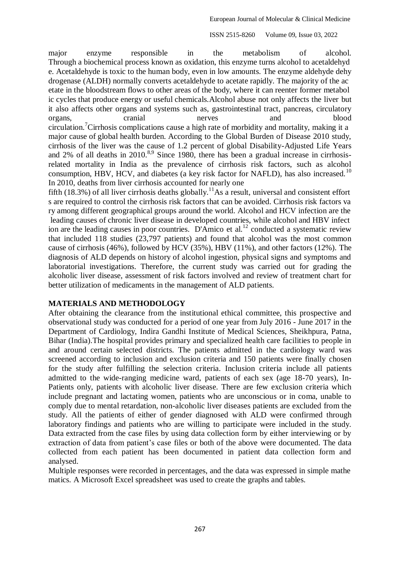major enzyme responsible in the metabolism of alcohol. Through a biochemical process known as oxidation, this enzyme turns alcohol to acetaldehyd e. Acetaldehyde is toxic to the human body, even in low amounts. The enzyme aldehyde dehy drogenase (ALDH) normally converts acetaldehyde to acetate rapidly. The majority of the ac etate in the bloodstream flows to other areas of the body, where it can reenter former metabol ic cycles that produce energy or useful chemicals.Alcohol abuse not only affects the liver but it also affects other organs and systems such as, gastrointestinal tract, pancreas, circulatory organs, cranial nerves and blood circulation. <sup>7</sup>Cirrhosis complications cause a high rate of morbidity and mortality, making it a major cause of global health burden. According to the Global Burden of Disease 2010 study, cirrhosis of the liver was the cause of 1.2 percent of global Disability-Adjusted Life Years and 2% of all deaths in  $2010$ .<sup>8,9</sup> Since 1980, there has been a gradual increase in cirrhosisrelated mortality in India as the prevalence of cirrhosis risk factors, such as alcohol consumption, HBV, HCV, and diabetes (a key risk factor for NAFLD), has also increased.<sup>10</sup> In 2010, deaths from liver cirrhosis accounted for nearly one

fifth (18.3%) of all liver cirrhosis deaths globally.<sup>11</sup>As a result, universal and consistent effort s are required to control the cirrhosis risk factors that can be avoided. Cirrhosis risk factors va ry among different geographical groups around the world. Alcohol and HCV infection are the leading causes of chronic liver disease in developed countries, while alcohol and HBV infect ion are the leading causes in poor countries. D'Amico et al.<sup>12</sup> conducted a systematic review that included 118 studies (23,797 patients) and found that alcohol was the most common cause of cirrhosis (46%), followed by HCV (35%), HBV (11%), and other factors (12%). The diagnosis of ALD depends on history of alcohol ingestion, physical signs and symptoms and laboratorial investigations. Therefore, the current study was carried out for grading the alcoholic liver disease, assessment of risk factors involved and review of treatment chart for better utilization of medicaments in the management of ALD patients.

# **MATERIALS AND METHODOLOGY**

After obtaining the clearance from the institutional ethical committee, this prospective and observational study was conducted for a period of one year from July 2016 - June 2017 in the Department of Cardiology, Indira Gandhi Institute of Medical Sciences, Sheikhpura, Patna, Bihar (India).The hospital provides primary and specialized health care facilities to people in and around certain selected districts. The patients admitted in the cardiology ward was screened according to inclusion and exclusion criteria and 150 patients were finally chosen for the study after fulfilling the selection criteria. Inclusion criteria include all patients admitted to the wide-ranging medicine ward, patients of each sex (age 18-70 years), In-Patients only, patients with alcoholic liver disease. There are few exclusion criteria which include pregnant and lactating women, patients who are unconscious or in coma, unable to comply due to mental retardation, non-alcoholic liver diseases patients are excluded from the study. All the patients of either of gender diagnosed with ALD were confirmed through laboratory findings and patients who are willing to participate were included in the study. Data extracted from the case files by using data collection form by either interviewing or by extraction of data from patient's case files or both of the above were documented. The data collected from each patient has been documented in patient data collection form and analysed.

Multiple responses were recorded in percentages, and the data was expressed in simple mathe matics. A Microsoft Excel spreadsheet was used to create the graphs and tables.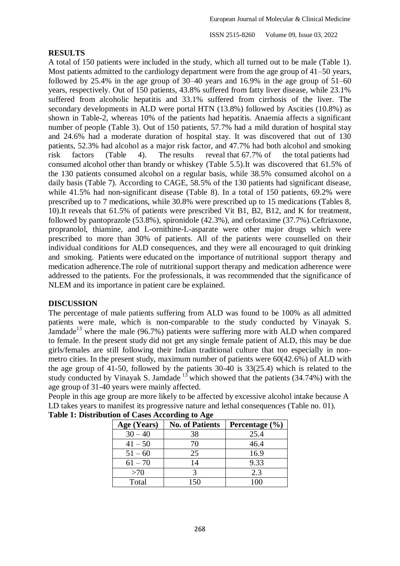### **RESULTS**

A total of 150 patients were included in the study, which all turned out to be male (Table 1). Most patients admitted to the cardiology department were from the age group of 41–50 years, followed by 25.4% in the age group of 30–40 years and 16.9% in the age group of 51–60 years, respectively. Out of 150 patients, 43.8% suffered from fatty liver disease, while 23.1% suffered from alcoholic hepatitis and 33.1% suffered from cirrhosis of the liver. The secondary developments in ALD were portal HTN (13.8%) followed by Ascities (10.8%) as shown in Table-2, whereas 10% of the patients had hepatitis. Anaemia affects a significant number of people (Table 3). Out of 150 patients, 57.7% had a mild duration of hospital stay and 24.6% had a moderate duration of hospital stay. It was discovered that out of 130 patients, 52.3% had alcohol as a major risk factor, and 47.7% had both alcohol and smoking risk factors (Table 4). The results reveal that 67.7% of the total patients had consumed alcohol other than brandy or whiskey (Table 5.5).It was discovered that 61.5% of the 130 patients consumed alcohol on a regular basis, while 38.5% consumed alcohol on a daily basis (Table 7). According to CAGE, 58.5% of the 130 patients had significant disease, while 41.5% had non-significant disease (Table 8). In a total of 150 patients, 69.2% were prescribed up to 7 medications, while 30.8% were prescribed up to 15 medications (Tables 8, 10).It reveals that 61.5% of patients were prescribed Vit B1, B2, B12, and K for treatment, followed by pantoprazole (53.8%), spironidole (42.3%), and cefotaxime (37.7%).Ceftriaxone, propranolol, thiamine, and L-ornithine-L-asparate were other major drugs which were prescribed to more than 30% of patients. All of the patients were counselled on their individual conditions for ALD consequences, and they were all encouraged to quit drinking and smoking. Patients were educated on the importance of nutritional support therapy and medication adherence.The role of nutritional support therapy and medication adherence were addressed to the patients. For the professionals, it was recommended that the significance of NLEM and its importance in patient care be explained.

# **DISCUSSION**

The percentage of male patients suffering from ALD was found to be 100% as all admitted patients were male, which is non-comparable to the study conducted by Vinayak S. Jamdade<sup>13</sup> where the male (96.7%) patients were suffering more with ALD when compared to female. In the present study did not get any single female patient of ALD, this may be due girls/females are still following their Indian traditional culture that too especially in nonmetro cities. In the present study, maximum number of patients were 60(42.6%) of ALD with the age group of 41-50, followed by the patients 30-40 is 33(25.4) which is related to the study conducted by Vinayak S. Jamdade  $13$  which showed that the patients (34.74%) with the age group of 31-40 years were mainly affected.

People in this age group are more likely to be affected by excessive alcohol intake because A LD takes years to manifest its progressive nature and lethal consequences (Table no. 01).

| Age (Years) | <b>No. of Patients</b> | Percentage $(\% )$ |
|-------------|------------------------|--------------------|
| $30 - 40$   | 38                     | 25.4               |
| $41 - 50$   | 70                     | 46.4               |
| $51 - 60$   | 25                     | 16.9               |
| $61 - 70$   | 14                     | 9.33               |
| >70         |                        | 2.3                |
| Total       | 150                    | 100                |

### **Table 1: Distribution of Cases According to Age**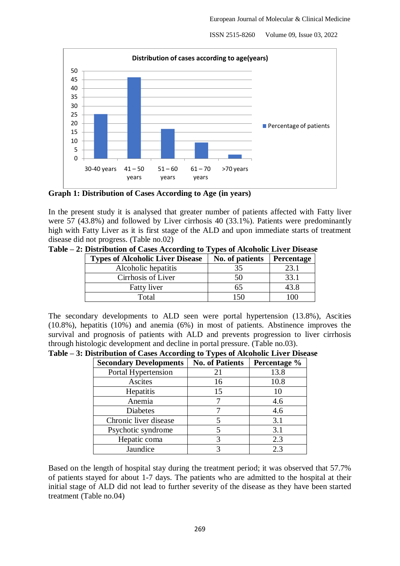

**Graph 1: Distribution of Cases According to Age (in years)**

In the present study it is analysed that greater number of patients affected with Fatty liver were 57 (43.8%) and followed by Liver cirrhosis 40 (33.1%). Patients were predominantly high with Fatty Liver as it is first stage of the ALD and upon immediate starts of treatment disease did not progress. (Table no.02)

| , . | $\blacksquare$ . Distribution of Cases According to Types of Acconone Erver Disease |                              |  |
|-----|-------------------------------------------------------------------------------------|------------------------------|--|
|     | <b>Types of Alcoholic Liver Disease</b>                                             | No. of patients   Percentage |  |
|     | Alcoholic hepatitis                                                                 |                              |  |
|     | Cirrhosis of Liver                                                                  |                              |  |

**Table – 2: Distribution of Cases According to Types of Alcoholic Liver Disease**

| Total                                                                                           | 150 | 100 |  |
|-------------------------------------------------------------------------------------------------|-----|-----|--|
|                                                                                                 |     |     |  |
| The secondary developments to ALD seen were portal hypertension (13.8%), Ascities               |     |     |  |
| $(10.8\%)$ , hepatitis $(10\%)$ and anemia $(6\%)$ in most of patients. Abstinence improves the |     |     |  |
| survival and prognosis of patients with ALD and prevents progression to liver cirrhosis         |     |     |  |
| through histologic development and decline in portal pressure. (Table no.03).                   |     |     |  |

Fatty liver 1 65 43.8

|  |  |  |  |  | Table - 3: Distribution of Cases According to Types of Alcoholic Liver Disease |  |  |  |  |  |
|--|--|--|--|--|--------------------------------------------------------------------------------|--|--|--|--|--|
|--|--|--|--|--|--------------------------------------------------------------------------------|--|--|--|--|--|

| <b>Secondary Developments</b> | <b>No. of Patients</b> | Percentage % |
|-------------------------------|------------------------|--------------|
| Portal Hypertension           | 21                     | 13.8         |
| Ascites                       | 16                     | 10.8         |
| Hepatitis                     | 15                     | 10           |
| Anemia                        |                        | 4.6          |
| <b>Diabetes</b>               |                        | 4.6          |
| Chronic liver disease         |                        | 3.1          |
| Psychotic syndrome            |                        | 3.1          |
| Hepatic coma                  |                        | 2.3          |
| Jaundice                      |                        | 2.3          |

Based on the length of hospital stay during the treatment period; it was observed that 57.7% of patients stayed for about 1-7 days. The patients who are admitted to the hospital at their initial stage of ALD did not lead to further severity of the disease as they have been started treatment (Table no.04)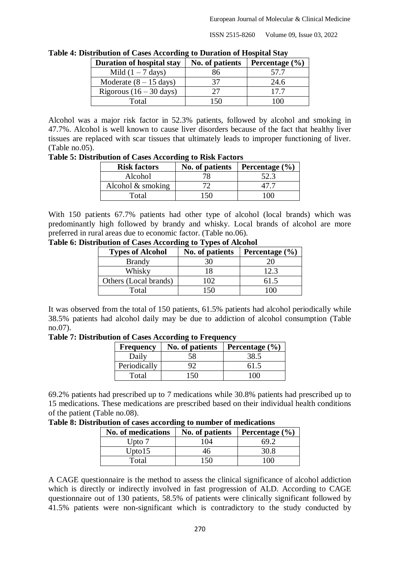| $\mathbf S$ is a contribution of $\mathbf S$ and $\mathbf S$ is a contribution of the spectrum of $\mathbf S$ |                 |                    |  |  |  |
|---------------------------------------------------------------------------------------------------------------|-----------------|--------------------|--|--|--|
| <b>Duration of hospital stay</b>                                                                              | No. of patients | Percentage $(\% )$ |  |  |  |
| Mild $(1 – 7$ days)                                                                                           | 86              | 57.7               |  |  |  |
| Moderate $(8 - 15$ days)                                                                                      | 37              | 24.6               |  |  |  |
| Rigorous $(16 - 30 \text{ days})$                                                                             | つつ              | 17.7               |  |  |  |
| Total                                                                                                         | 150             | $($ $)($ $)$       |  |  |  |

**Table 4: Distribution of Cases According to Duration of Hospital Stay**

Alcohol was a major risk factor in 52.3% patients, followed by alcohol and smoking in 47.7%. Alcohol is well known to cause liver disorders because of the fact that healthy liver tissues are replaced with scar tissues that ultimately leads to improper functioning of liver. (Table no.05).

**Table 5: Distribution of Cases According to Risk Factors**

| <b>Risk factors</b> | No. of patients | Percentage $(\% )$ |
|---------------------|-----------------|--------------------|
| Alcohol             |                 | 52.3               |
| Alcohol $&$ smoking |                 |                    |
| Total               | 150             | 706.               |

With 150 patients 67.7% patients had other type of alcohol (local brands) which was predominantly high followed by brandy and whisky. Local brands of alcohol are more preferred in rural areas due to economic factor. (Table no.06).

**Table 6: Distribution of Cases According to Types of Alcohol**

| <b>Types of Alcohol</b> | No. of patients | Percentage $(\% )$ |
|-------------------------|-----------------|--------------------|
| <b>Brandy</b>           | 30              |                    |
| Whisky                  |                 | 12.3               |
| Others (Local brands)   | ിറ              | 61.5               |
| Total                   |                 |                    |

It was observed from the total of 150 patients, 61.5% patients had alcohol periodically while 38.5% patients had alcohol daily may be due to addiction of alcohol consumption (Table no.07).

**Table 7: Distribution of Cases According to Frequency**

| <b>Frequency</b> | No. of patients | Percentage $(\% )$ |
|------------------|-----------------|--------------------|
| Daily            |                 | 38.5               |
| Periodically     |                 | 61.5               |
| Total            |                 |                    |

69.2% patients had prescribed up to 7 medications while 30.8% patients had prescribed up to 15 medications. These medications are prescribed based on their individual health conditions of the patient (Table no.08).

**Table 8: Distribution of cases according to number of medications**

| No. of medications | No. of patients | Percentage $(\% )$ |
|--------------------|-----------------|--------------------|
| Upto 7             | 04              |                    |
| Upto15             | 46              | 30.8               |
| Total              | -50             | 100                |

A CAGE questionnaire is the method to assess the clinical significance of alcohol addiction which is directly or indirectly involved in fast progression of ALD. According to CAGE questionnaire out of 130 patients, 58.5% of patients were clinically significant followed by 41.5% patients were non-significant which is contradictory to the study conducted by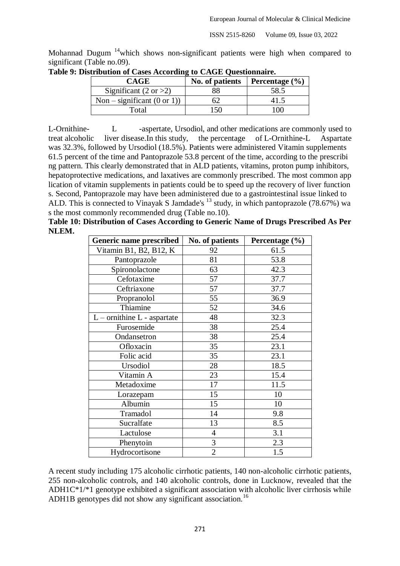Mohannad Dugum <sup>14</sup>which shows non-significant patients were high when compared to significant (Table no.09).

| <b>CAGE</b>                           | No. of patients | Percentage $(\% )$ |
|---------------------------------------|-----------------|--------------------|
| Significant $(2 \text{ or } >2)$      |                 | 58.5               |
| Non – significant $(0 \text{ or } 1)$ |                 |                    |
| Total                                 | 150             | ഥ                  |

**Table 9: Distribution of Cases According to CAGE Questionnaire.**

L-Ornithine- L -aspertate, Ursodiol, and other medications are commonly used to treat alcoholic liver disease.In this study, the percentage of L-Ornithine-L Aspartate was 32.3%, followed by Ursodiol (18.5%). Patients were administered Vitamin supplements 61.5 percent of the time and Pantoprazole 53.8 percent of the time, according to the prescribi ng pattern. This clearly demonstrated that in ALD patients, vitamins, proton pump inhibitors, hepatoprotective medications, and laxatives are commonly prescribed. The most common app lication of vitamin supplements in patients could be to speed up the recovery of liver function s. Second, Pantoprazole may have been administered due to a gastrointestinal issue linked to ALD. This is connected to Vinayak S Jamdade's  $^{13}$  study, in which pantoprazole (78.67%) wa s the most commonly recommended drug (Table no.10).

**Table 10: Distribution of Cases According to Generic Name of Drugs Prescribed As Per NLEM.**

| Generic name prescribed         | No. of patients | Percentage (%) |
|---------------------------------|-----------------|----------------|
| Vitamin B1, B2, B12, K          | 92              | 61.5           |
| Pantoprazole                    | 81              | 53.8           |
| Spironolactone                  | 63              | 42.3           |
| Cefotaxime                      | 57              | 37.7           |
| Ceftriaxone                     | 57              | 37.7           |
| Propranolol                     | 55              | 36.9           |
| Thiamine                        | 52              | 34.6           |
| $L$ – ornithine $L$ - aspartate | 48              | 32.3           |
| Furosemide                      | 38              | 25.4           |
| Ondansetron                     | 38              | 25.4           |
| Ofloxacin                       | 35              | 23.1           |
| Folic acid                      | 35              | 23.1           |
| Ursodiol                        | 28              | 18.5           |
| Vitamin A                       | 23              | 15.4           |
| Metadoxime                      | 17              | 11.5           |
| Lorazepam                       | 15              | 10             |
| Albumin                         | 15              | 10             |
| Tramadol                        | 14              | 9.8            |
| Sucralfate                      | 13              | 8.5            |
| Lactulose                       | $\overline{4}$  | 3.1            |
| Phenytoin                       | $\mathfrak{Z}$  | 2.3            |
| Hydrocortisone                  | $\overline{2}$  | 1.5            |

A recent study including 175 alcoholic cirrhotic patients, 140 non-alcoholic cirrhotic patients, 255 non-alcoholic controls, and 140 alcoholic controls, done in Lucknow, revealed that the ADH1C\*1/\*1 genotype exhibited a significant association with alcoholic liver cirrhosis while ADH1B genotypes did not show any significant association.<sup>16</sup>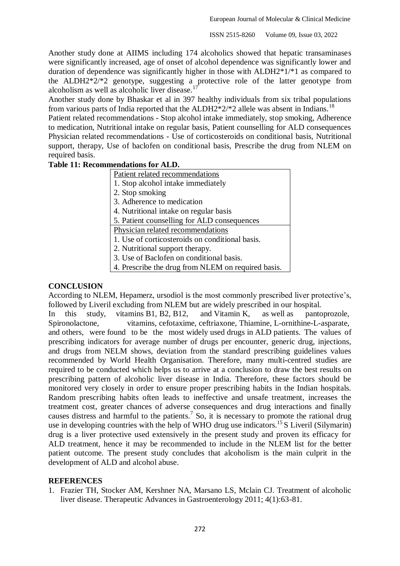Another study done at AIIMS including 174 alcoholics showed that hepatic transaminases were significantly increased, age of onset of alcohol dependence was significantly lower and duration of dependence was significantly higher in those with ALDH2\*1/\*1 as compared to the ALDH2\*2/\*2 genotype, suggesting a protective role of the latter genotype from alcoholism as well as alcoholic liver disease.<sup>17</sup>

Another study done by Bhaskar et al in 397 healthy individuals from six tribal populations from various parts of India reported that the ALDH2 $*2/*2$  allele was absent in Indians.<sup>18</sup>

Patient related recommendations - Stop alcohol intake immediately, stop smoking, Adherence to medication, Nutritional intake on regular basis, Patient counselling for ALD consequences Physician related recommendations - Use of corticosteroids on conditional basis, Nutritional support, therapy, Use of baclofen on conditional basis, Prescribe the drug from NLEM on required basis.

### **Table 11: Recommendations for ALD.**

Patient related recommendations

- 1. Stop alcohol intake immediately
- 2. Stop smoking
- 3. Adherence to medication
- 4. Nutritional intake on regular basis
- 5. Patient counselling for ALD consequences

Physician related recommendations

- 1. Use of corticosteroids on conditional basis.
- 2. Nutritional support therapy.
- 3. Use of Baclofen on conditional basis.
- 4. Prescribe the drug from NLEM on required basis.

### **CONCLUSION**

According to NLEM, Hepamerz, ursodiol is the most commonly prescribed liver protective's, followed by Liveril excluding from NLEM but are widely prescribed in our hospital.

In this study, vitamins B1, B2, B12, and Vitamin K, as well as pantoprozole, Spironolactone, vitamins, cefotaxime, ceftriaxone, Thiamine, L-ornithine-L-asparate, and others, were found to be the most widely used drugs in ALD patients. The values of prescribing indicators for average number of drugs per encounter, generic drug, injections, and drugs from NELM shows, deviation from the standard prescribing guidelines values recommended by World Health Organisation. Therefore, many multi-centred studies are required to be conducted which helps us to arrive at a conclusion to draw the best results on prescribing pattern of alcoholic liver disease in India. Therefore, these factors should be monitored very closely in order to ensure proper prescribing habits in the Indian hospitals. Random prescribing habits often leads to ineffective and unsafe treatment, increases the treatment cost, greater chances of adverse consequences and drug interactions and finally causes distress and harmful to the patients.<sup>7</sup> So, it is necessary to promote the rational drug use in developing countries with the help of WHO drug use indicators.<sup>15</sup> S Liveril (Silymarin) drug is a liver protective used extensively in the present study and proven its efficacy for ALD treatment, hence it may be recommended to include in the NLEM list for the better patient outcome. The present study concludes that alcoholism is the main culprit in the development of ALD and alcohol abuse.

### **REFERENCES**

1. Frazier TH, Stocker AM, Kershner NA, Marsano LS, Mclain CJ. Treatment of alcoholic liver disease. Therapeutic Advances in Gastroenterology 2011; 4(1):63-81.